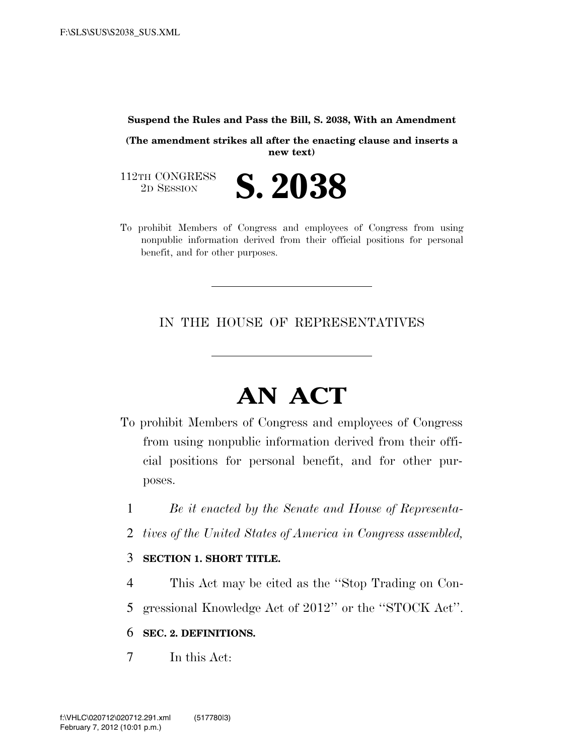#### **Suspend the Rules and Pass the Bill, S. 2038, With an Amendment**

**(The amendment strikes all after the enacting clause and inserts a new text)** 

112TH CONGRESS<br>2D SESSION

- 2D SESSION **S. 2038**
- To prohibit Members of Congress and employees of Congress from using nonpublic information derived from their official positions for personal benefit, and for other purposes.

IN THE HOUSE OF REPRESENTATIVES

# **AN ACT**

- To prohibit Members of Congress and employees of Congress from using nonpublic information derived from their official positions for personal benefit, and for other purposes.
	- 1 *Be it enacted by the Senate and House of Representa-*
	- 2 *tives of the United States of America in Congress assembled,*
	- 3 **SECTION 1. SHORT TITLE.**
	- 4 This Act may be cited as the ''Stop Trading on Con-
	- 5 gressional Knowledge Act of 2012'' or the ''STOCK Act''.

#### 6 **SEC. 2. DEFINITIONS.**

7 In this Act: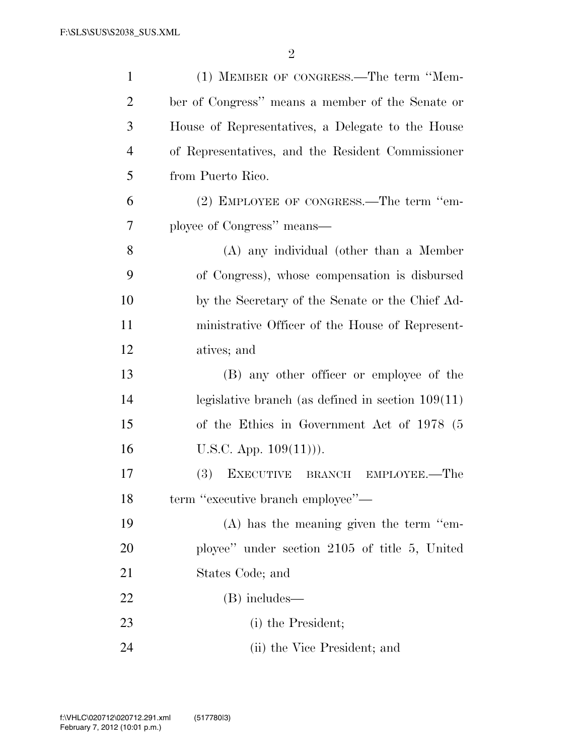| $\mathbf{1}$   | (1) MEMBER OF CONGRESS.—The term "Mem-                 |
|----------------|--------------------------------------------------------|
| $\overline{2}$ | ber of Congress" means a member of the Senate or       |
| 3              | House of Representatives, a Delegate to the House      |
| $\overline{4}$ | of Representatives, and the Resident Commissioner      |
| 5              | from Puerto Rico.                                      |
| 6              | (2) EMPLOYEE OF CONGRESS.—The term "em-                |
| 7              | ployee of Congress" means—                             |
| 8              | $(A)$ any individual (other than a Member              |
| 9              | of Congress), whose compensation is disbursed          |
| 10             | by the Secretary of the Senate or the Chief Ad-        |
| 11             | ministrative Officer of the House of Represent-        |
| 12             | atives; and                                            |
| 13             | (B) any other officer or employee of the               |
| 14             | legislative branch (as defined in section $109(11)$ )  |
| 15             | of the Ethics in Government Act of 1978 (5)            |
| 16             | U.S.C. App. $109(11)$ ).                               |
| 17             | <b>(3)</b><br><b>EXECUTIVE</b><br>BRANCH EMPLOYEE.—The |
| 18             | term "executive branch employee"-                      |
| 19             | $(A)$ has the meaning given the term "em-              |
| 20             | ployee" under section 2105 of title 5, United          |
| 21             | States Code; and                                       |
| 22             | (B) includes—                                          |
| 23             | (i) the President;                                     |
| 24             | (ii) the Vice President; and                           |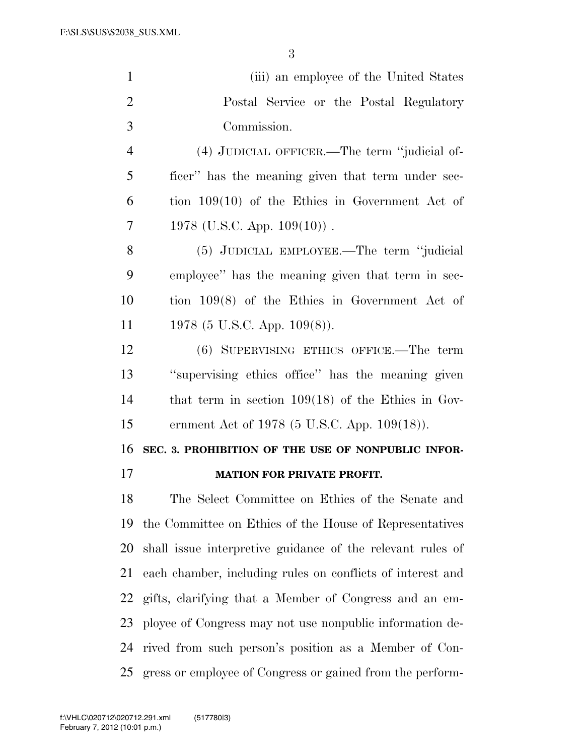| $\mathbf{1}$   | (iii) an employee of the United States                     |
|----------------|------------------------------------------------------------|
| $\overline{2}$ | Postal Service or the Postal Regulatory                    |
| 3              | Commission.                                                |
| $\overline{4}$ | (4) JUDICIAL OFFICER.—The term "judicial of-               |
| 5              | ficer" has the meaning given that term under sec-          |
| 6              | tion $109(10)$ of the Ethics in Government Act of          |
| 7              | 1978 (U.S.C. App. $109(10)$ ).                             |
| 8              | (5) JUDICIAL EMPLOYEE.—The term "judicial                  |
| 9              | employee" has the meaning given that term in sec-          |
| 10             | tion $109(8)$ of the Ethics in Government Act of           |
| 11             | 1978 (5 U.S.C. App. $109(8)$ ).                            |
| 12             | (6) SUPERVISING ETHICS OFFICE.—The term                    |
| 13             | "supervising ethics office" has the meaning given          |
| 14             | that term in section $109(18)$ of the Ethics in Gov-       |
| 15             | ernment Act of 1978 (5 U.S.C. App. 109(18)).               |
| 16             | SEC. 3. PROHIBITION OF THE USE OF NONPUBLIC INFOR-         |
| 17             | <b>MATION FOR PRIVATE PROFIT.</b>                          |
| 18             | The Select Committee on Ethics of the Senate and           |
| 19             | the Committee on Ethics of the House of Representatives    |
| 20             | shall issue interpretive guidance of the relevant rules of |
| 21             | each chamber, including rules on conflicts of interest and |
| 22             | gifts, clarifying that a Member of Congress and an em-     |
| 23             | ployee of Congress may not use nonpublic information de-   |
| 24             | rived from such person's position as a Member of Con-      |
| 25             | gress or employee of Congress or gained from the perform-  |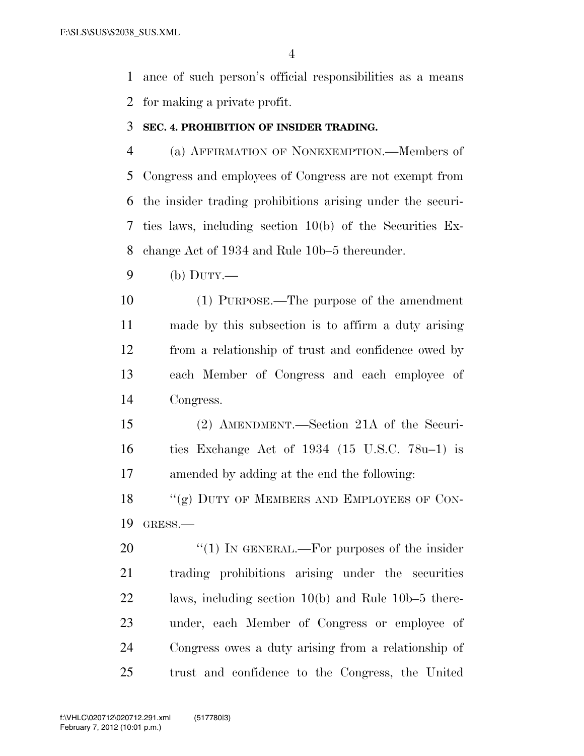ance of such person's official responsibilities as a means for making a private profit.

#### **SEC. 4. PROHIBITION OF INSIDER TRADING.**

 (a) AFFIRMATION OF NONEXEMPTION.—Members of Congress and employees of Congress are not exempt from the insider trading prohibitions arising under the securi- ties laws, including section 10(b) of the Securities Ex-change Act of 1934 and Rule 10b–5 thereunder.

(b) DUTY.—

 (1) PURPOSE.—The purpose of the amendment made by this subsection is to affirm a duty arising from a relationship of trust and confidence owed by each Member of Congress and each employee of Congress.

 (2) AMENDMENT.—Section 21A of the Securi- ties Exchange Act of 1934 (15 U.S.C. 78u–1) is amended by adding at the end the following:

18 "(g) DUTY OF MEMBERS AND EMPLOYEES OF CON-GRESS.—

20 "(1) IN GENERAL.—For purposes of the insider trading prohibitions arising under the securities laws, including section 10(b) and Rule 10b–5 there- under, each Member of Congress or employee of Congress owes a duty arising from a relationship of trust and confidence to the Congress, the United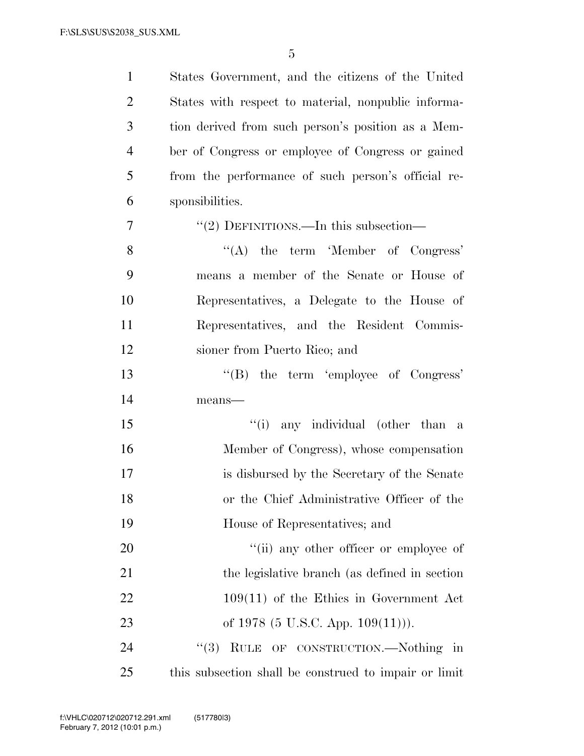| $\mathbf{1}$   | States Government, and the citizens of the United     |
|----------------|-------------------------------------------------------|
| $\overline{2}$ | States with respect to material, nonpublic informa-   |
| 3              | tion derived from such person's position as a Mem-    |
| $\overline{4}$ | ber of Congress or employee of Congress or gained     |
| 5              | from the performance of such person's official re-    |
| 6              | sponsibilities.                                       |
| 7              | "(2) DEFINITIONS.—In this subsection—                 |
| 8              | $\lq\lq$ the term 'Member of Congress'                |
| 9              | means a member of the Senate or House of              |
| 10             | Representatives, a Delegate to the House of           |
| 11             | Representatives, and the Resident Commis-             |
| 12             | sioner from Puerto Rico; and                          |
| 13             | "(B) the term 'employee of Congress'                  |
| 14             | means-                                                |
| 15             | "(i) any individual (other than a                     |
| 16             | Member of Congress), whose compensation               |
| 17             | is disbursed by the Secretary of the Senate           |
| 18             | or the Chief Administrative Officer of the            |
| 19             | House of Representatives; and                         |
| 20             | "(ii) any other officer or employee of                |
| 21             | the legislative branch (as defined in section)        |
| 22             | $109(11)$ of the Ethics in Government Act             |
| 23             | of 1978 (5 U.S.C. App. $109(11)$ ).                   |
| 24             | "(3) RULE OF CONSTRUCTION.—Nothing in                 |
| 25             | this subsection shall be construed to impair or limit |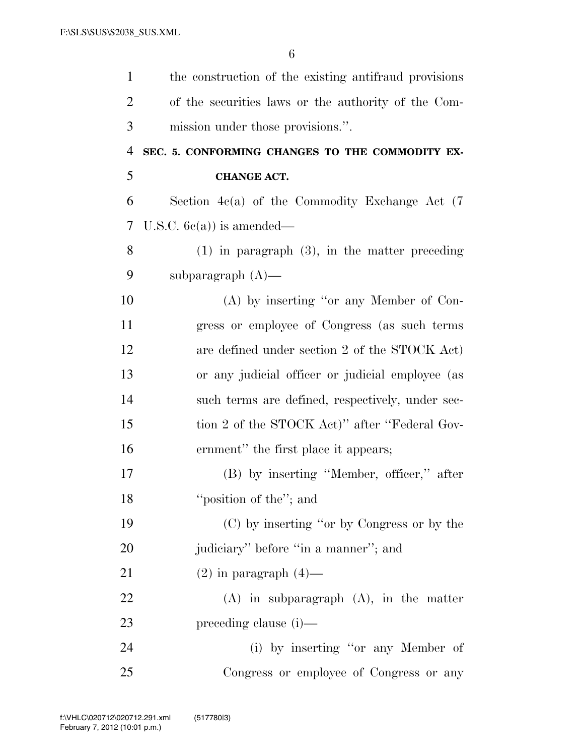| $\mathbf{1}$   | the construction of the existing antifraud provisions |
|----------------|-------------------------------------------------------|
| $\overline{2}$ | of the securities laws or the authority of the Com-   |
| 3              | mission under those provisions.".                     |
| $\overline{4}$ | SEC. 5. CONFORMING CHANGES TO THE COMMODITY EX-       |
| 5              | <b>CHANGE ACT.</b>                                    |
| 6              | Section $4c(a)$ of the Commodity Exchange Act $(7)$   |
| 7              | U.S.C. $6c(a)$ is amended—                            |
| 8              | $(1)$ in paragraph $(3)$ , in the matter preceding    |
| 9              | subparagraph $(A)$ —                                  |
| 10             | $(A)$ by inserting "or any Member of Con-             |
| 11             | gress or employee of Congress (as such terms          |
| 12             | are defined under section 2 of the STOCK Act)         |
| 13             | or any judicial officer or judicial employee (as      |
| 14             | such terms are defined, respectively, under sec-      |
| 15             | tion 2 of the STOCK Act)" after "Federal Gov-         |
| 16             | ernment" the first place it appears;                  |
| 17             | (B) by inserting "Member, officer," after             |
| 18             | "position of the"; and                                |
| 19             | (C) by inserting "or by Congress or by the            |
| 20             | judiciary" before "in a manner"; and                  |
| 21             | $(2)$ in paragraph $(4)$ —                            |
| 22             | $(A)$ in subparagraph $(A)$ , in the matter           |
| 23             | preceding clause (i)—                                 |
| 24             | (i) by inserting "or any Member of                    |
| 25             | Congress or employee of Congress or any               |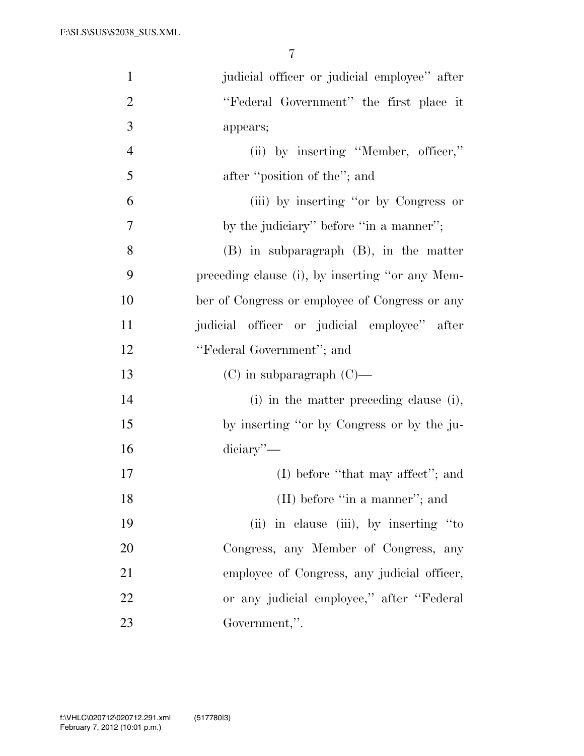| $\mathbf{1}$   | judicial officer or judicial employee" after    |
|----------------|-------------------------------------------------|
| $\overline{2}$ | "Federal Government" the first place it         |
| 3              | appears;                                        |
| $\overline{4}$ | (ii) by inserting "Member, officer,"            |
| 5              | after "position of the"; and                    |
| 6              | (iii) by inserting "or by Congress or           |
| $\overline{7}$ | by the judiciary" before "in a manner";         |
| 8              | $(B)$ in subparagraph $(B)$ , in the matter     |
| 9              | preceding clause (i), by inserting "or any Mem- |
| 10             | ber of Congress or employee of Congress or any  |
| 11             | judicial officer or judicial employee" after    |
| 12             | "Federal Government"; and                       |
| 13             | $(C)$ in subparagraph $(C)$ —                   |
| 14             | (i) in the matter preceding clause (i),         |
| 15             | by inserting "or by Congress or by the ju-      |
| 16             | $\alpha$ diciary''—                             |
| 17             | $(I)$ before "that may affect"; and             |
| 18             | $(II)$ before "in a manner"; and                |
| 19             | (ii) in clause (iii), by inserting "to          |
| 20             | Congress, any Member of Congress, any           |
| 21             | employee of Congress, any judicial officer,     |
| 22             | or any judicial employee," after "Federal"      |
| 23             | Government,".                                   |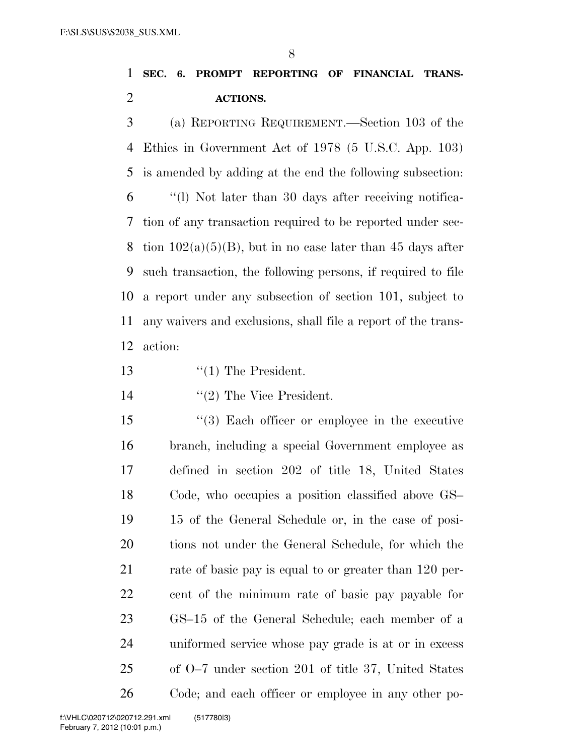## **SEC. 6. PROMPT REPORTING OF FINANCIAL TRANS-ACTIONS.**

 (a) REPORTING REQUIREMENT.—Section 103 of the Ethics in Government Act of 1978 (5 U.S.C. App. 103) is amended by adding at the end the following subsection: ''(l) Not later than 30 days after receiving notifica- tion of any transaction required to be reported under sec-8 tion  $102(a)(5)(B)$ , but in no case later than 45 days after such transaction, the following persons, if required to file a report under any subsection of section 101, subject to any waivers and exclusions, shall file a report of the trans-action:

13 '(1) The President.

14 ''(2) The Vice President.

 ''(3) Each officer or employee in the executive branch, including a special Government employee as defined in section 202 of title 18, United States Code, who occupies a position classified above GS– 15 of the General Schedule or, in the case of posi- tions not under the General Schedule, for which the 21 rate of basic pay is equal to or greater than 120 per- cent of the minimum rate of basic pay payable for GS–15 of the General Schedule; each member of a uniformed service whose pay grade is at or in excess of O–7 under section 201 of title 37, United States Code; and each officer or employee in any other po-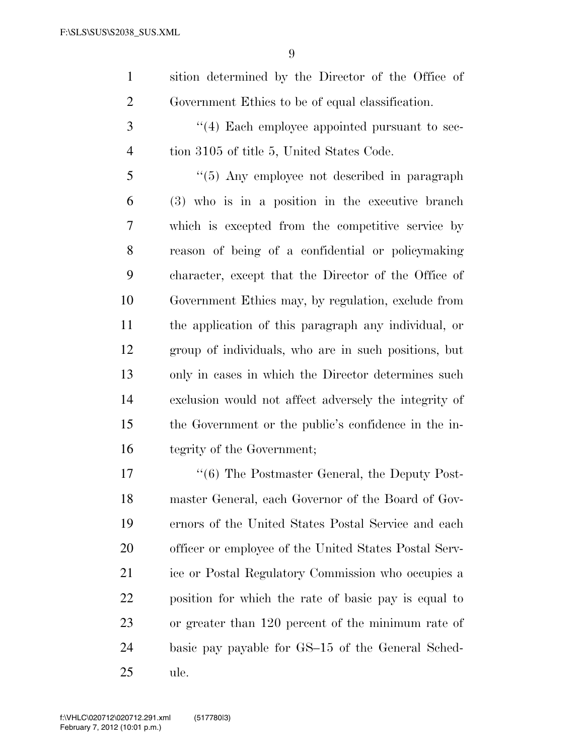| sition determined by the Director of the Office of |
|----------------------------------------------------|
| Government Ethics to be of equal classification.   |

3 (4) Each employee appointed pursuant to sec-tion 3105 of title 5, United States Code.

 ''(5) Any employee not described in paragraph (3) who is in a position in the executive branch which is excepted from the competitive service by reason of being of a confidential or policymaking character, except that the Director of the Office of Government Ethics may, by regulation, exclude from the application of this paragraph any individual, or group of individuals, who are in such positions, but only in cases in which the Director determines such exclusion would not affect adversely the integrity of the Government or the public's confidence in the in-tegrity of the Government;

17 ''(6) The Postmaster General, the Deputy Post- master General, each Governor of the Board of Gov- ernors of the United States Postal Service and each officer or employee of the United States Postal Serv- ice or Postal Regulatory Commission who occupies a position for which the rate of basic pay is equal to or greater than 120 percent of the minimum rate of basic pay payable for GS–15 of the General Sched-ule.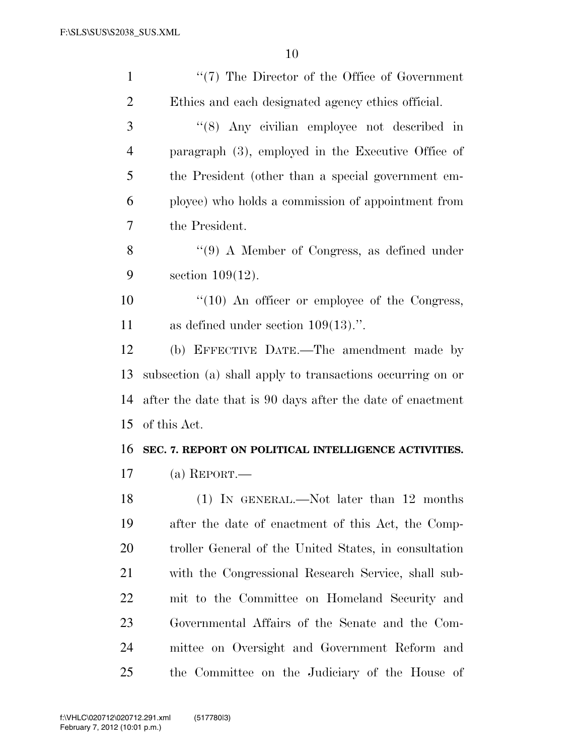| $\mathbf{1}$   | "(7) The Director of the Office of Government              |
|----------------|------------------------------------------------------------|
| $\overline{2}$ | Ethics and each designated agency ethics official.         |
| 3              | "(8) Any civilian employee not described in                |
| $\overline{4}$ | paragraph $(3)$ , employed in the Executive Office of      |
| 5              | the President (other than a special government em-         |
| 6              | ployee) who holds a commission of appointment from         |
| 7              | the President.                                             |
| 8              | $\lq(9)$ A Member of Congress, as defined under            |
| 9              | section $109(12)$ .                                        |
| 10             | $\lq(10)$ An officer or employee of the Congress,          |
| 11             | as defined under section $109(13)$ .".                     |
| 12             | (b) EFFECTIVE DATE.—The amendment made by                  |
| 13             | subsection (a) shall apply to transactions occurring on or |
| 14             | after the date that is 90 days after the date of enactment |
| 15             | of this Act.                                               |
| 16             | SEC. 7. REPORT ON POLITICAL INTELLIGENCE ACTIVITIES.       |
| 17             | (a) REPORT.—                                               |
| 18             | (1) IN GENERAL.—Not later than 12 months                   |
| 19             | after the date of enactment of this Act, the Comp-         |
| 20             | troller General of the United States, in consultation      |
| 21             | with the Congressional Research Service, shall sub-        |
| 22             | mit to the Committee on Homeland Security and              |
| 23             | Governmental Affairs of the Senate and the Com-            |
| 24             | mittee on Oversight and Government Reform and              |
| 25             | the Committee on the Judiciary of the House of             |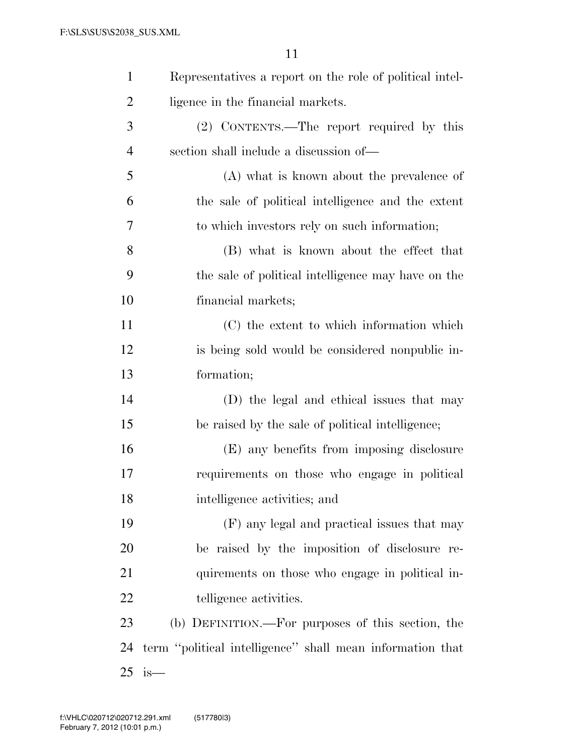| $\mathbf{1}$   | Representatives a report on the role of political intel-  |
|----------------|-----------------------------------------------------------|
| $\overline{2}$ | ligence in the financial markets.                         |
| 3              | (2) CONTENTS.—The report required by this                 |
| $\overline{4}$ | section shall include a discussion of—                    |
| 5              | (A) what is known about the prevalence of                 |
| 6              | the sale of political intelligence and the extent         |
| 7              | to which investors rely on such information;              |
| 8              | (B) what is known about the effect that                   |
| 9              | the sale of political intelligence may have on the        |
| 10             | financial markets;                                        |
| 11             | (C) the extent to which information which                 |
| 12             | is being sold would be considered nonpublic in-           |
| 13             | formation;                                                |
| 14             | (D) the legal and ethical issues that may                 |
| 15             | be raised by the sale of political intelligence;          |
| 16             | (E) any benefits from imposing disclosure                 |
| 17             | requirements on those who engage in political             |
| 18             | intelligence activities; and                              |
| 19             | (F) any legal and practical issues that may               |
| 20             | be raised by the imposition of disclosure re-             |
| 21             | quirements on those who engage in political in-           |
| 22             | telligence activities.                                    |
| 23             | (b) DEFINITION.—For purposes of this section, the         |
| 24             | term "political intelligence" shall mean information that |
| 25             | is—                                                       |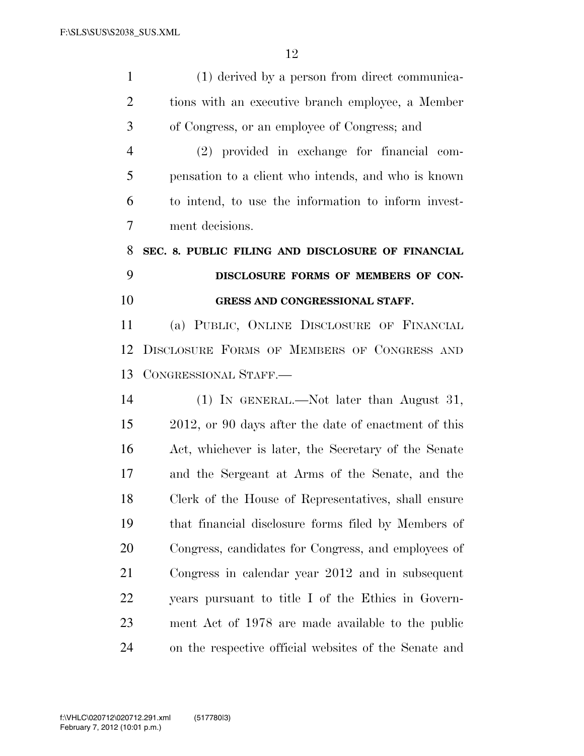| $\mathbf{1}$   | (1) derived by a person from direct communica-        |
|----------------|-------------------------------------------------------|
| $\overline{2}$ | tions with an executive branch employee, a Member     |
| 3              | of Congress, or an employee of Congress; and          |
| $\overline{4}$ | (2) provided in exchange for financial com-           |
| 5              | pensation to a client who intends, and who is known   |
| 6              | to intend, to use the information to inform invest-   |
| $\overline{7}$ | ment decisions.                                       |
| 8              | SEC. 8. PUBLIC FILING AND DISCLOSURE OF FINANCIAL     |
| 9              | DISCLOSURE FORMS OF MEMBERS OF CON-                   |
| 10             | GRESS AND CONGRESSIONAL STAFF.                        |
| 11             | (a) PUBLIC, ONLINE DISCLOSURE OF FINANCIAL            |
| 12             | DISCLOSURE FORMS OF MEMBERS OF CONGRESS AND           |
| 13             | CONGRESSIONAL STAFF.                                  |
| 14             | (1) IN GENERAL.—Not later than August 31,             |
| 15             | 2012, or 90 days after the date of enactment of this  |
| 16             | Act, whichever is later, the Secretary of the Senate  |
| 17             | and the Sergeant at Arms of the Senate, and the       |
| 18             | Clerk of the House of Representatives, shall ensure   |
| 19             | that financial disclosure forms filed by Members of   |
| 20             | Congress, candidates for Congress, and employees of   |
| 21             | Congress in calendar year 2012 and in subsequent      |
| 22             | years pursuant to title I of the Ethics in Govern-    |
| 23             | ment Act of 1978 are made available to the public     |
| 24             | on the respective official websites of the Senate and |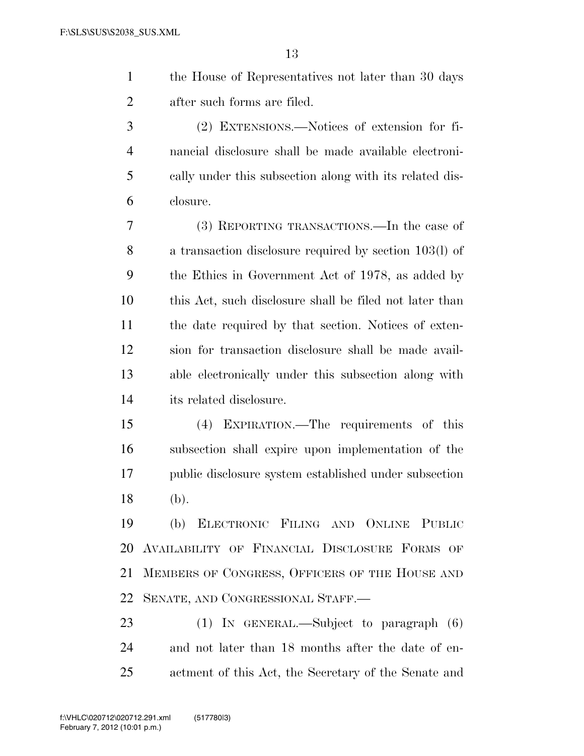| the House of Representatives not later than 30 days |
|-----------------------------------------------------|
| after such forms are filed.                         |

 (2) EXTENSIONS.—Notices of extension for fi- nancial disclosure shall be made available electroni- cally under this subsection along with its related dis-closure.

 (3) REPORTING TRANSACTIONS.—In the case of a transaction disclosure required by section 103(l) of the Ethics in Government Act of 1978, as added by this Act, such disclosure shall be filed not later than the date required by that section. Notices of exten- sion for transaction disclosure shall be made avail- able electronically under this subsection along with its related disclosure.

 (4) EXPIRATION.—The requirements of this subsection shall expire upon implementation of the public disclosure system established under subsection (b).

 (b) ELECTRONIC FILING AND ONLINE PUBLIC AVAILABILITY OF FINANCIAL DISCLOSURE FORMS OF MEMBERS OF CONGRESS, OFFICERS OF THE HOUSE AND SENATE, AND CONGRESSIONAL STAFF.—

 (1) IN GENERAL.—Subject to paragraph (6) and not later than 18 months after the date of en-actment of this Act, the Secretary of the Senate and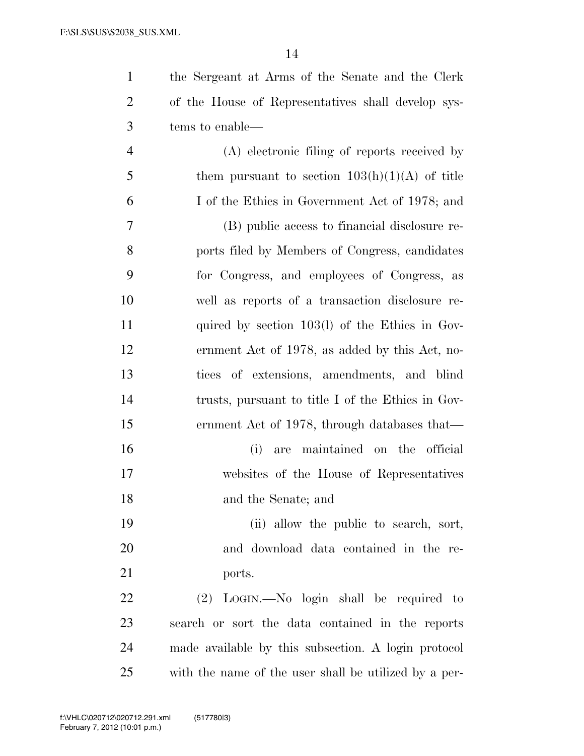the Sergeant at Arms of the Senate and the Clerk

| $\overline{2}$ | of the House of Representatives shall develop sys-    |
|----------------|-------------------------------------------------------|
| $\mathfrak{Z}$ | tems to enable—                                       |
| $\overline{4}$ | (A) electronic filing of reports received by          |
| 5              | them pursuant to section $103(h)(1)(A)$ of title      |
| 6              | I of the Ethics in Government Act of 1978; and        |
| 7              | (B) public access to financial disclosure re-         |
| 8              | ports filed by Members of Congress, candidates        |
| 9              | for Congress, and employees of Congress, as           |
| 10             | well as reports of a transaction disclosure re-       |
| 11             | quired by section $103(1)$ of the Ethics in Gov-      |
| 12             | ernment Act of 1978, as added by this Act, no-        |
| 13             | tices of extensions, amendments, and blind            |
| 14             | trusts, pursuant to title I of the Ethics in Gov-     |
| 15             | ernment Act of 1978, through databases that—          |
| 16             | maintained on the official<br>(i)<br>are              |
| 17             | websites of the House of Representatives              |
| 18             | and the Senate; and                                   |
| 19             | (ii) allow the public to search, sort,                |
| 20             | and download data contained in the re-                |
| 21             | ports.                                                |
| 22             | (2) LOGIN.—No login shall be required to              |
| 23             | search or sort the data contained in the reports      |
| 24             | made available by this subsection. A login protocol   |
| 25             | with the name of the user shall be utilized by a per- |
|                |                                                       |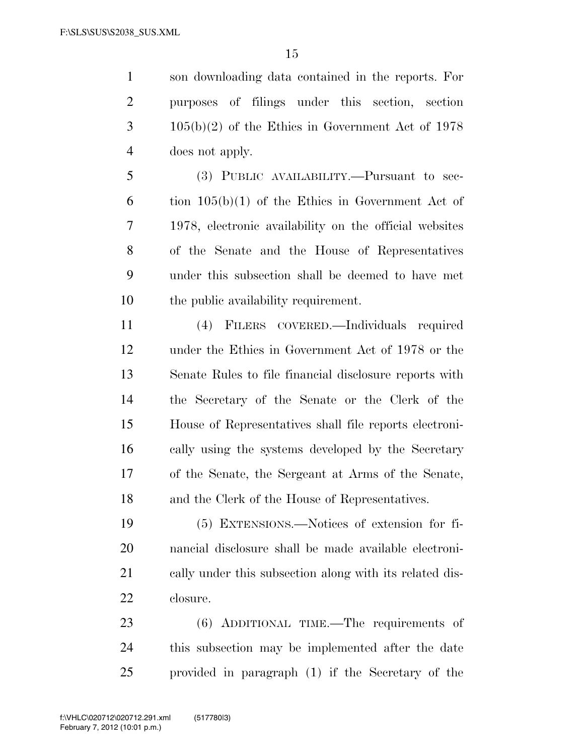son downloading data contained in the reports. For purposes of filings under this section, section 105(b)(2) of the Ethics in Government Act of 1978 does not apply.

 (3) PUBLIC AVAILABILITY.—Pursuant to sec-6 tion  $105(b)(1)$  of the Ethics in Government Act of 1978, electronic availability on the official websites of the Senate and the House of Representatives under this subsection shall be deemed to have met the public availability requirement.

 (4) FILERS COVERED.—Individuals required under the Ethics in Government Act of 1978 or the Senate Rules to file financial disclosure reports with the Secretary of the Senate or the Clerk of the House of Representatives shall file reports electroni- cally using the systems developed by the Secretary of the Senate, the Sergeant at Arms of the Senate, and the Clerk of the House of Representatives.

 (5) EXTENSIONS.—Notices of extension for fi- nancial disclosure shall be made available electroni- cally under this subsection along with its related dis-closure.

 (6) ADDITIONAL TIME.—The requirements of this subsection may be implemented after the date provided in paragraph (1) if the Secretary of the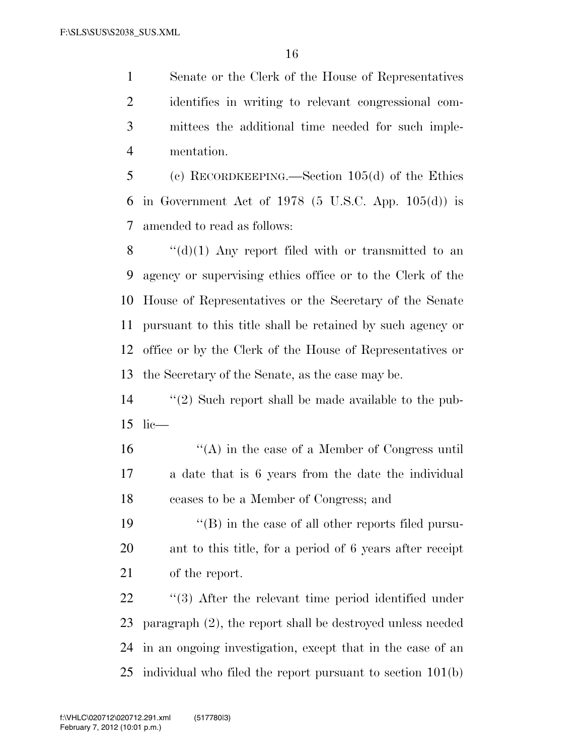Senate or the Clerk of the House of Representatives identifies in writing to relevant congressional com- mittees the additional time needed for such imple-mentation.

 (c) RECORDKEEPING.—Section 105(d) of the Ethics 6 in Government Act of 1978  $(5 \text{ U.S.C. App. 105(d)})$  is amended to read as follows:

 $\langle G'(d)(1)$  Any report filed with or transmitted to an agency or supervising ethics office or to the Clerk of the House of Representatives or the Secretary of the Senate pursuant to this title shall be retained by such agency or office or by the Clerk of the House of Representatives or the Secretary of the Senate, as the case may be.

 ''(2) Such report shall be made available to the pub-lic—

 ''(A) in the case of a Member of Congress until a date that is 6 years from the date the individual ceases to be a Member of Congress; and

19  $\langle$   $\langle$  (B) in the case of all other reports filed pursu- ant to this title, for a period of 6 years after receipt of the report.

 $\frac{1}{2}$  (3) After the relevant time period identified under paragraph (2), the report shall be destroyed unless needed in an ongoing investigation, except that in the case of an individual who filed the report pursuant to section 101(b)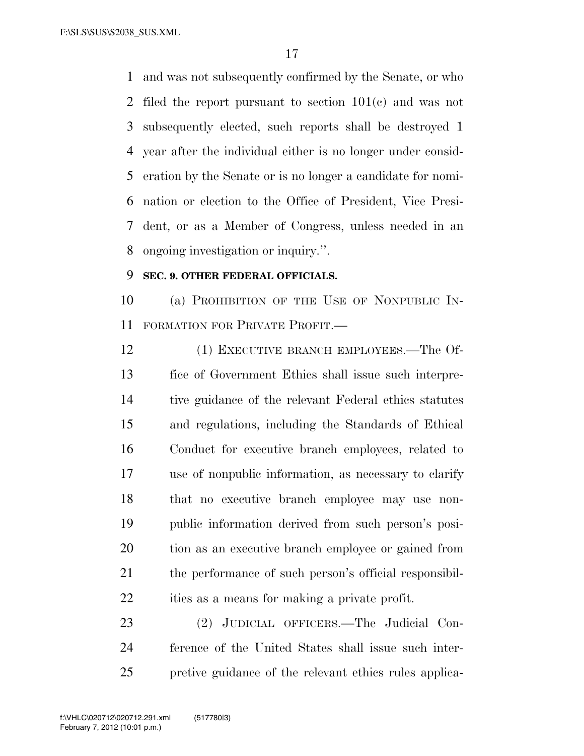and was not subsequently confirmed by the Senate, or who filed the report pursuant to section 101(c) and was not subsequently elected, such reports shall be destroyed 1 year after the individual either is no longer under consid- eration by the Senate or is no longer a candidate for nomi- nation or election to the Office of President, Vice Presi- dent, or as a Member of Congress, unless needed in an ongoing investigation or inquiry.''.

### **SEC. 9. OTHER FEDERAL OFFICIALS.**

 (a) PROHIBITION OF THE USE OF NONPUBLIC IN-FORMATION FOR PRIVATE PROFIT.—

12 (1) EXECUTIVE BRANCH EMPLOYEES.—The Of- fice of Government Ethics shall issue such interpre- tive guidance of the relevant Federal ethics statutes and regulations, including the Standards of Ethical Conduct for executive branch employees, related to use of nonpublic information, as necessary to clarify that no executive branch employee may use non- public information derived from such person's posi- tion as an executive branch employee or gained from the performance of such person's official responsibil-ities as a means for making a private profit.

 (2) JUDICIAL OFFICERS.—The Judicial Con- ference of the United States shall issue such inter-pretive guidance of the relevant ethics rules applica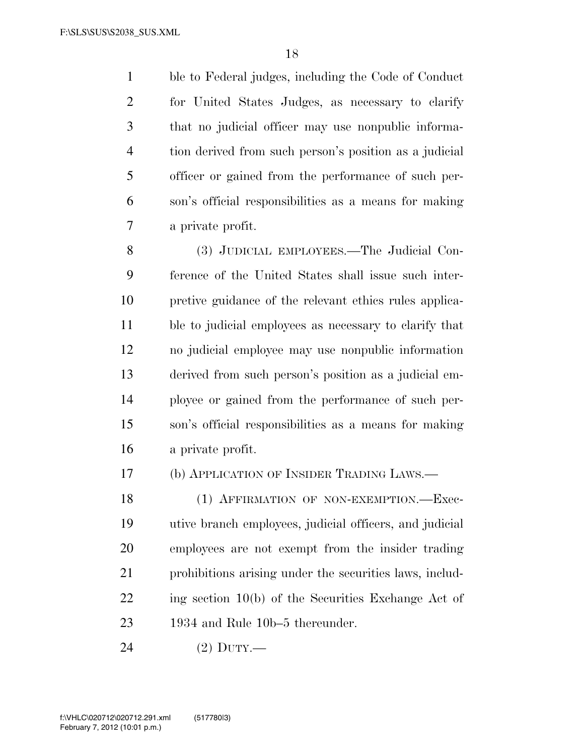ble to Federal judges, including the Code of Conduct for United States Judges, as necessary to clarify that no judicial officer may use nonpublic informa- tion derived from such person's position as a judicial officer or gained from the performance of such per- son's official responsibilities as a means for making a private profit.

 (3) JUDICIAL EMPLOYEES.—The Judicial Con- ference of the United States shall issue such inter- pretive guidance of the relevant ethics rules applica- ble to judicial employees as necessary to clarify that no judicial employee may use nonpublic information derived from such person's position as a judicial em- ployee or gained from the performance of such per- son's official responsibilities as a means for making a private profit.

(b) APPLICATION OF INSIDER TRADING LAWS.—

18 (1) AFFIRMATION OF NON-EXEMPTION. Exec- utive branch employees, judicial officers, and judicial employees are not exempt from the insider trading prohibitions arising under the securities laws, includ- ing section 10(b) of the Securities Exchange Act of 1934 and Rule 10b–5 thereunder.

(2) DUTY.—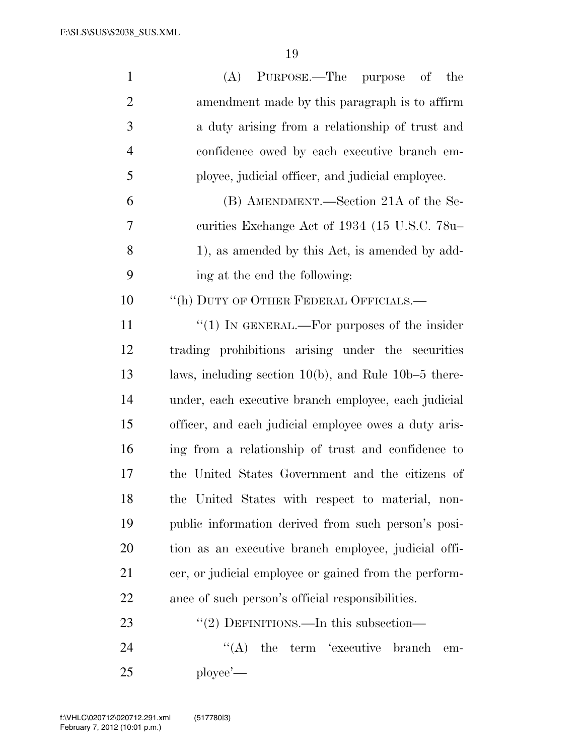| $\mathbf{1}$   | PURPOSE.—The purpose of the<br>(A)                        |
|----------------|-----------------------------------------------------------|
| $\overline{2}$ | amendment made by this paragraph is to affirm             |
| 3              | a duty arising from a relationship of trust and           |
| $\overline{4}$ | confidence owed by each executive branch em-              |
| 5              | ployee, judicial officer, and judicial employee.          |
| 6              | (B) AMENDMENT.—Section 21A of the Se-                     |
| 7              | curities Exchange Act of 1934 (15 U.S.C. 78u-             |
| 8              | 1), as amended by this Act, is amended by add-            |
| 9              | ing at the end the following:                             |
| 10             | "(h) DUTY OF OTHER FEDERAL OFFICIALS.-                    |
| 11             | " $(1)$ In GENERAL.—For purposes of the insider           |
| 12             | trading prohibitions arising under the securities         |
| 13             | laws, including section $10(b)$ , and Rule $10b-5$ there- |
| 14             | under, each executive branch employee, each judicial      |
| 15             | officer, and each judicial employee owes a duty aris-     |
| 16             | ing from a relationship of trust and confidence to        |
| 17             | the United States Government and the citizens of          |
| 18             | the United States with respect to material, non-          |
| 19             | public information derived from such person's posi-       |
| <b>20</b>      | tion as an executive branch employee, judicial offi-      |
| 21             | cer, or judicial employee or gained from the perform-     |
| 22             | ance of such person's official responsibilities.          |
| 23             | "(2) DEFINITIONS.—In this subsection—                     |
| 24             | $\lq\lq (A)$<br>the term 'executive<br>branch<br>em-      |
| 25             | $\n  player —\n$                                          |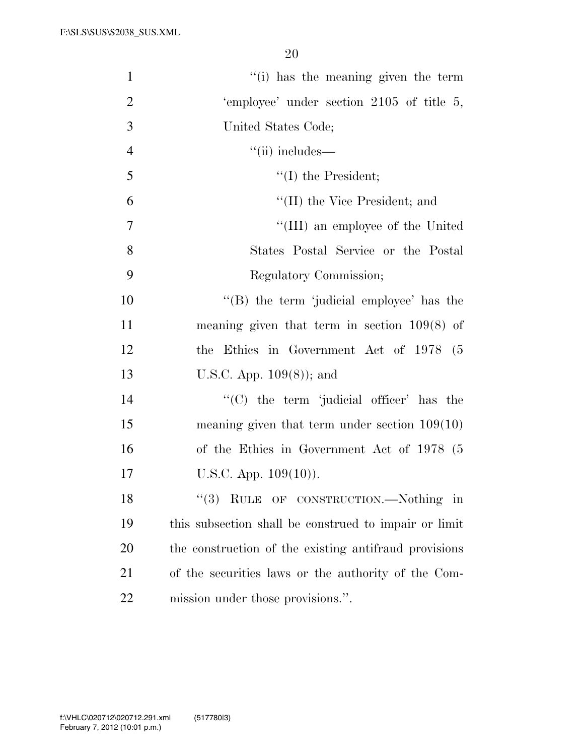| $\mathbf{1}$   | "(i) has the meaning given the term                   |
|----------------|-------------------------------------------------------|
| $\overline{2}$ | 'employee' under section 2105 of title 5,             |
| 3              | United States Code;                                   |
| $\overline{4}$ | $``(ii)$ includes—                                    |
| 5              | $\lq\lq$ (I) the President;                           |
| 6              | "(II) the Vice President; and                         |
| 7              | "(III) an employee of the United                      |
| 8              | States Postal Service or the Postal                   |
| 9              | Regulatory Commission;                                |
| 10             | "(B) the term 'judicial employee' has the             |
| 11             | meaning given that term in section $109(8)$ of        |
| 12             | the Ethics in Government Act of 1978 (5               |
| 13             | U.S.C. App. $109(8)$ ; and                            |
| 14             | "(C) the term 'judicial officer' has the              |
| 15             | meaning given that term under section $109(10)$       |
| 16             | of the Ethics in Government Act of 1978 (5            |
| 17             | U.S.C. App. $109(10)$ ).                              |
| 18             | $\lq(3)$ RULE OF CONSTRUCTION.—Nothing in             |
| 19             | this subsection shall be construed to impair or limit |
| 20             | the construction of the existing antifraud provisions |
| 21             | of the securities laws or the authority of the Com-   |
| 22             | mission under those provisions.".                     |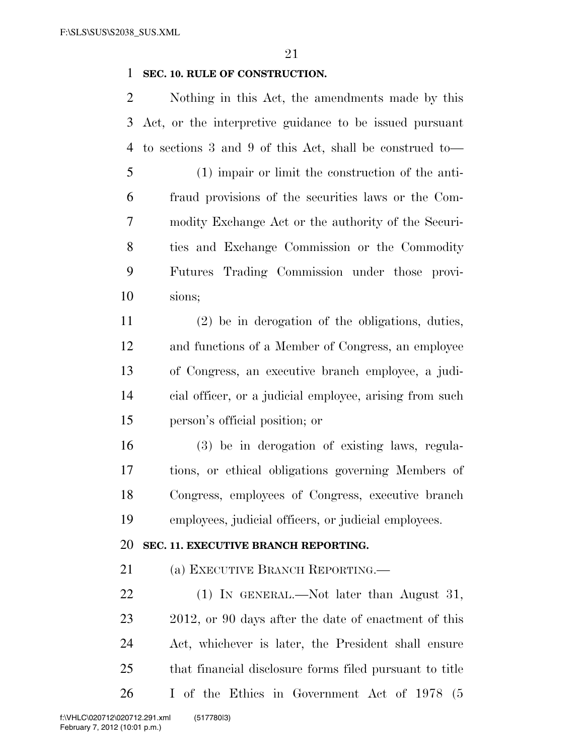### **SEC. 10. RULE OF CONSTRUCTION.**

 Nothing in this Act, the amendments made by this Act, or the interpretive guidance to be issued pursuant to sections 3 and 9 of this Act, shall be construed to—

 (1) impair or limit the construction of the anti- fraud provisions of the securities laws or the Com- modity Exchange Act or the authority of the Securi- ties and Exchange Commission or the Commodity Futures Trading Commission under those provi-sions;

 (2) be in derogation of the obligations, duties, and functions of a Member of Congress, an employee of Congress, an executive branch employee, a judi- cial officer, or a judicial employee, arising from such person's official position; or

 (3) be in derogation of existing laws, regula- tions, or ethical obligations governing Members of Congress, employees of Congress, executive branch employees, judicial officers, or judicial employees.

#### **SEC. 11. EXECUTIVE BRANCH REPORTING.**

(a) EXECUTIVE BRANCH REPORTING.—

22 (1) IN GENERAL.—Not later than August 31, 23 2012, or 90 days after the date of enactment of this Act, whichever is later, the President shall ensure that financial disclosure forms filed pursuant to title I of the Ethics in Government Act of 1978 (5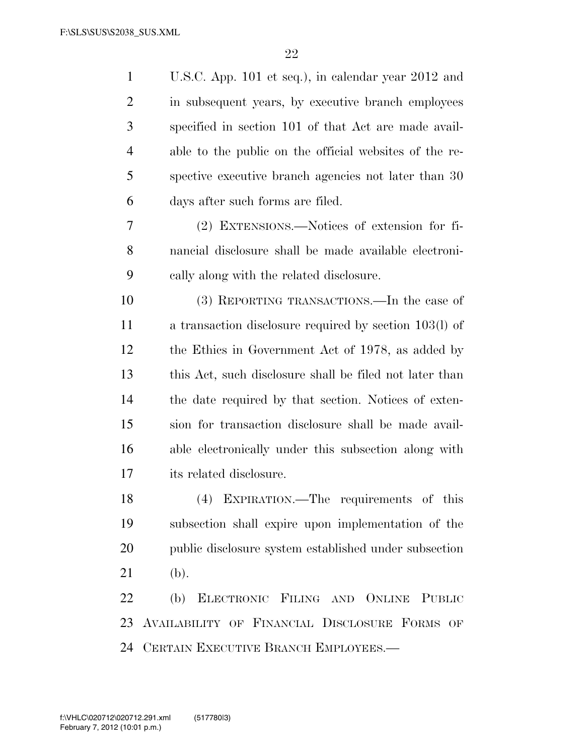| $\mathbf{1}$   | U.S.C. App. 101 et seq.), in calendar year 2012 and     |
|----------------|---------------------------------------------------------|
| $\overline{2}$ | in subsequent years, by executive branch employees      |
| 3              | specified in section 101 of that Act are made avail-    |
| $\overline{4}$ | able to the public on the official websites of the re-  |
| 5              | spective executive branch agencies not later than 30    |
| 6              | days after such forms are filed.                        |
| 7              | (2) EXTENSIONS.—Notices of extension for fi-            |
| 8              | nancial disclosure shall be made available electroni-   |
| 9              | cally along with the related disclosure.                |
| 10             | (3) REPORTING TRANSACTIONS.—In the case of              |
| 11             | a transaction disclosure required by section 103(l) of  |
| 12             | the Ethics in Government Act of 1978, as added by       |
| 13             | this Act, such disclosure shall be filed not later than |
| 14             | the date required by that section. Notices of exten-    |
| 15             | sion for transaction disclosure shall be made avail-    |
| 16             | able electronically under this subsection along with    |
| 17             | its related disclosure.                                 |
| 18             | (4) EXPIRATION.—The requirements of this                |
| 19             | subsection shall expire upon implementation of the      |
| 20             | public disclosure system established under subsection   |
| 21             | (b).                                                    |
| 22             | (b) ELECTRONIC FILING AND ONLINE PUBLIC                 |
| 23             | AVAILABILITY OF FINANCIAL DISCLOSURE FORMS OF           |
| 24             | CERTAIN EXECUTIVE BRANCH EMPLOYEES.-                    |
|                |                                                         |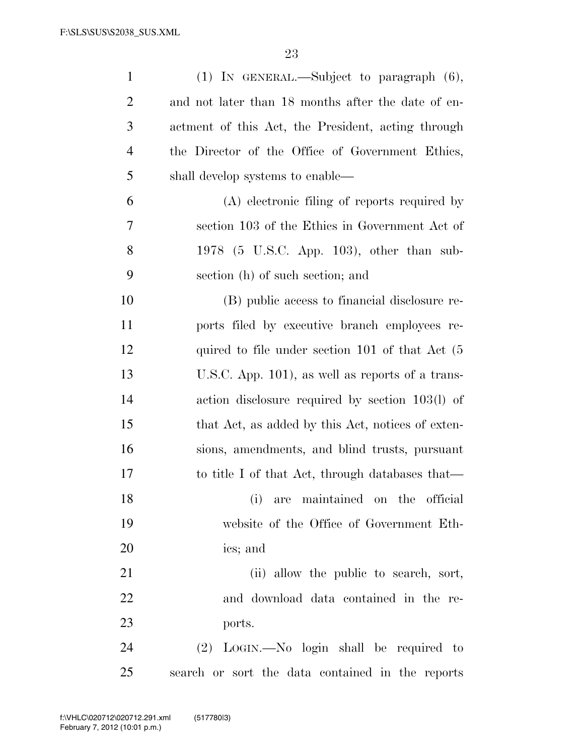| $\mathbf{1}$   | $(1)$ IN GENERAL.—Subject to paragraph $(6)$ ,               |
|----------------|--------------------------------------------------------------|
| $\overline{2}$ | and not later than 18 months after the date of en-           |
| 3              | actment of this Act, the President, acting through           |
| 4              | the Director of the Office of Government Ethics,             |
| 5              | shall develop systems to enable—                             |
| 6              | (A) electronic filing of reports required by                 |
| 7              | section 103 of the Ethics in Government Act of               |
| 8              | 1978 (5 U.S.C. App. 103), other than sub-                    |
| 9              | section (h) of such section; and                             |
| 10             | (B) public access to financial disclosure re-                |
| 11             | ports filed by executive branch employees re-                |
| 12             | quired to file under section 101 of that $Act(5)$            |
| 13             | U.S.C. App. 101), as well as reports of a trans-             |
| 14             | action disclosure required by section 103(l) of              |
| 15             | that Act, as added by this Act, notices of exten-            |
| 16             | sions, amendments, and blind trusts, pursuant                |
| 17             | to title I of that Act, through databases that—              |
| 18             | (i) are maintained on the official                           |
| 19             | website of the Office of Government Eth-                     |
| 20             | ics; and                                                     |
| 21             | (ii) allow the public to search, sort,                       |
| 22             | and download data contained in the re-                       |
| 23             | ports.                                                       |
| 24             | $(2)$ LOGIN. $\longrightarrow$ No login shall be required to |
| 25             | search or sort the data contained in the reports             |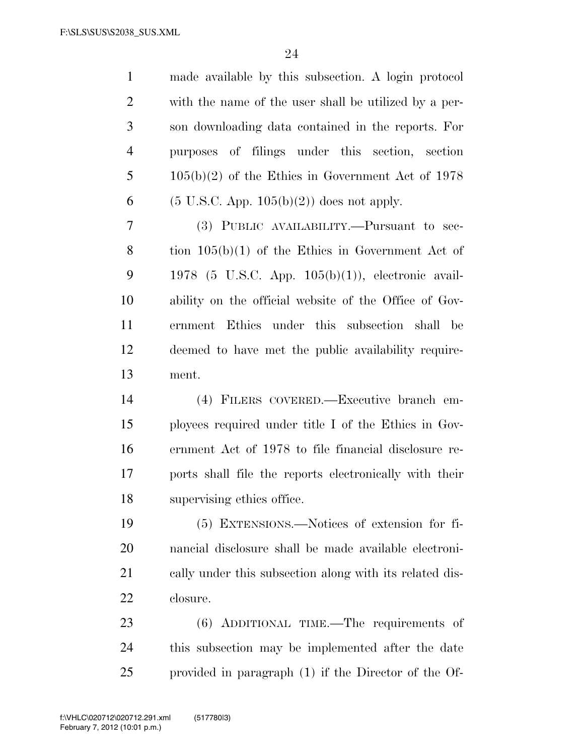| $\mathbf{1}$   | made available by this subsection. A login protocol     |
|----------------|---------------------------------------------------------|
| $\overline{2}$ | with the name of the user shall be utilized by a per-   |
| 3              | son downloading data contained in the reports. For      |
| $\overline{4}$ | purposes of filings under this section, section         |
| 5              | $105(b)(2)$ of the Ethics in Government Act of 1978     |
| 6              | $(5 \text{ U.S.C. App. 105(b)(2)})$ does not apply.     |
| 7              | (3) PUBLIC AVAILABILITY.—Pursuant to sec-               |
| 8              | tion $105(b)(1)$ of the Ethics in Government Act of     |
| 9              | 1978 (5 U.S.C. App. $105(b)(1)$ ), electronic avail-    |
| 10             | ability on the official website of the Office of Gov-   |
| 11             | ernment Ethics under this subsection shall be           |
| 12             | deemed to have met the public availability require-     |
|                |                                                         |
| 13             | ment.                                                   |
| 14             | (4) FILERS COVERED.—Executive branch em-                |
| 15             | ployees required under title I of the Ethics in Gov-    |
| 16             | ernment Act of 1978 to file financial disclosure re-    |
| 17             | ports shall file the reports electronically with their  |
| 18             | supervising ethics office.                              |
| 19             | (5) EXTENSIONS.—Notices of extension for fi-            |
| 20             | nancial disclosure shall be made available electroni-   |
| 21             | cally under this subsection along with its related dis- |
| 22             | closure.                                                |
| 23             | $(6)$ ADDITIONAL TIME.—The requirements of              |

provided in paragraph (1) if the Director of the Of-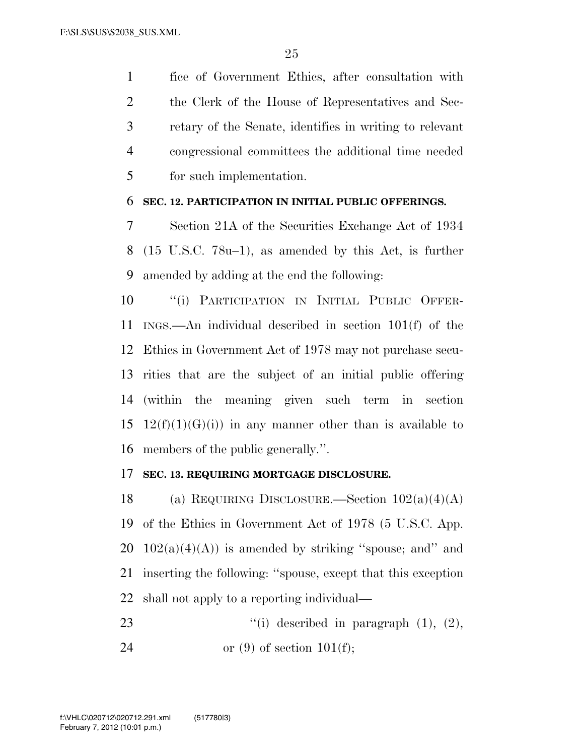fice of Government Ethics, after consultation with the Clerk of the House of Representatives and Sec- retary of the Senate, identifies in writing to relevant congressional committees the additional time needed for such implementation.

#### **SEC. 12. PARTICIPATION IN INITIAL PUBLIC OFFERINGS.**

 Section 21A of the Securities Exchange Act of 1934 (15 U.S.C. 78u–1), as amended by this Act, is further amended by adding at the end the following:

 ''(i) PARTICIPATION IN INITIAL PUBLIC OFFER- INGS.—An individual described in section 101(f) of the Ethics in Government Act of 1978 may not purchase secu- rities that are the subject of an initial public offering (within the meaning given such term in section 15 12(f)(1)(G)(i)) in any manner other than is available to members of the public generally.''.

#### **SEC. 13. REQUIRING MORTGAGE DISCLOSURE.**

18 (a) REQUIRING DISCLOSURE.—Section  $102(a)(4)(A)$  of the Ethics in Government Act of 1978 (5 U.S.C. App.  $102(a)(4)(A)$  is amended by striking "spouse; and" and inserting the following: ''spouse, except that this exception shall not apply to a reporting individual—

23  $"(i)$  described in paragraph  $(1)$ ,  $(2)$ , 24 or  $(9)$  of section 101(f);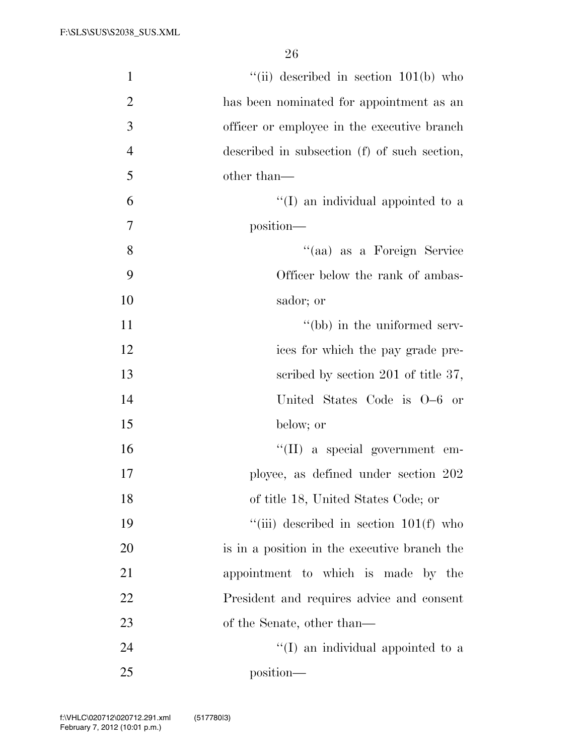| $\mathbf{1}$   | "(ii) described in section $101(b)$ who      |
|----------------|----------------------------------------------|
| $\mathbf{2}$   | has been nominated for appointment as an     |
| 3              | officer or employee in the executive branch  |
| $\overline{4}$ | described in subsection (f) of such section, |
| 5              | other than—                                  |
| 6              | $\lq\lq$ (I) an individual appointed to a    |
| $\overline{7}$ | position—                                    |
| 8              | "(aa) as a Foreign Service                   |
| 9              | Officer below the rank of ambas-             |
| 10             | sador; or                                    |
| 11             | "(bb) in the uniformed serv-                 |
| 12             | ices for which the pay grade pre-            |
| 13             | scribed by section 201 of title 37,          |
| 14             | United States Code is 0–6 or                 |
| 15             | below; or                                    |
| 16             | $\lq\lq$ (II) a special government em-       |
| 17             | ployee, as defined under section 202         |
| 18             | of title 18, United States Code; or          |
| 19             | "(iii) described in section $101(f)$ who     |
| 20             | is in a position in the executive branch the |
| 21             | appointment to which is made by the          |
| 22             | President and requires advice and consent    |
| 23             | of the Senate, other than—                   |
| 24             | $\lq\lq$ (I) an individual appointed to a    |
| 25             | position—                                    |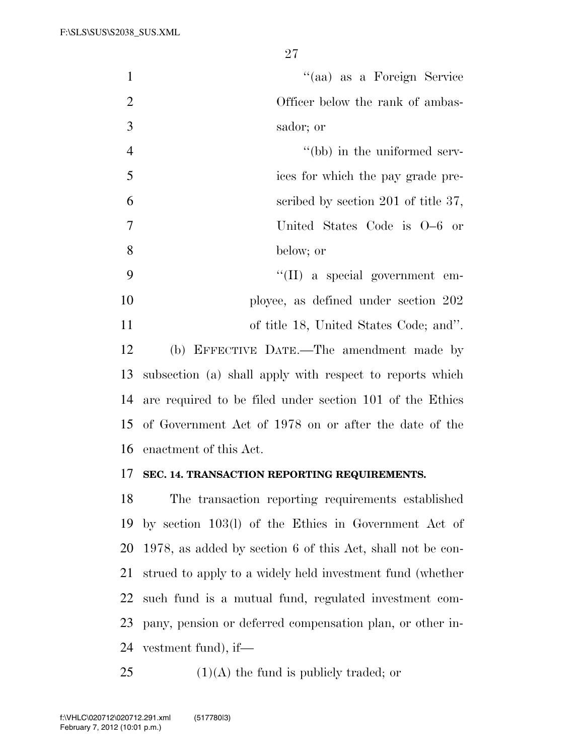| $\mathbf{1}$   | "(aa) as a Foreign Service                               |
|----------------|----------------------------------------------------------|
| $\overline{2}$ | Officer below the rank of ambas-                         |
| 3              | sador; or                                                |
| $\overline{4}$ | "(bb) in the uniformed serv-                             |
| 5              | ices for which the pay grade pre-                        |
| 6              | scribed by section 201 of title 37,                      |
| $\tau$         | United States Code is 0–6 or                             |
| 8              | below; or                                                |
| 9              | $\lq\lq$ (II) a special government em-                   |
| 10             | ployee, as defined under section 202                     |
| 11             | of title 18, United States Code; and".                   |
| 12             | (b) EFFECTIVE DATE.—The amendment made by                |
| 13             | subsection (a) shall apply with respect to reports which |
| 14             | are required to be filed under section 101 of the Ethics |
|                | 15 of Government Act of 1978 on or after the date of the |
| 16             | enactment of this Act.                                   |
|                |                                                          |

### **SEC. 14. TRANSACTION REPORTING REQUIREMENTS.**

 The transaction reporting requirements established by section 103(l) of the Ethics in Government Act of 1978, as added by section 6 of this Act, shall not be con- strued to apply to a widely held investment fund (whether such fund is a mutual fund, regulated investment com- pany, pension or deferred compensation plan, or other in-vestment fund), if—

25  $(1)(A)$  the fund is publicly traded; or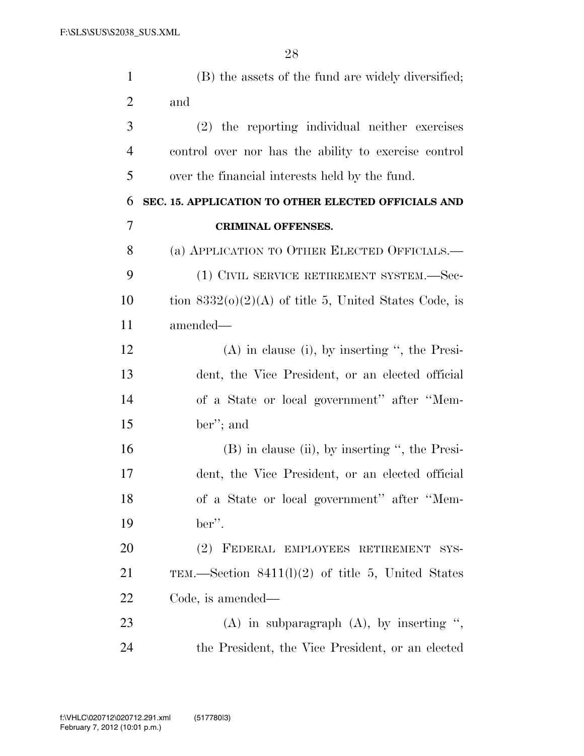| $\mathbf{1}$   | (B) the assets of the fund are widely diversified;      |
|----------------|---------------------------------------------------------|
| $\overline{2}$ | and                                                     |
| 3              | (2) the reporting individual neither exercises          |
| $\overline{4}$ | control over nor has the ability to exercise control    |
| 5              | over the financial interests held by the fund.          |
| 6              | SEC. 15. APPLICATION TO OTHER ELECTED OFFICIALS AND     |
| 7              | <b>CRIMINAL OFFENSES.</b>                               |
| 8              | (a) APPLICATION TO OTHER ELECTED OFFICIALS.—            |
| 9              | (1) CIVIL SERVICE RETIREMENT SYSTEM.-Sec-               |
| 10             | tion $8332(0)(2)(A)$ of title 5, United States Code, is |
| 11             | amended—                                                |
| 12             | $(A)$ in clause (i), by inserting ", the Presi-         |
| 13             | dent, the Vice President, or an elected official        |
| 14             | of a State or local government" after "Mem-             |
| 15             | ber"; and                                               |
| 16             | (B) in clause (ii), by inserting ", the Presi-          |
| 17             | dent, the Vice President, or an elected official        |
| 18             | of a State or local government" after "Mem-             |
| 19             | ber".                                                   |
| 20             | (2) FEDERAL EMPLOYEES RETIREMENT SYS-                   |
| 21             | TEM.—Section $8411(1)(2)$ of title 5, United States     |
| 22             | Code, is amended—                                       |
| 23             | $(A)$ in subparagraph $(A)$ , by inserting ",           |
| 24             | the President, the Vice President, or an elected        |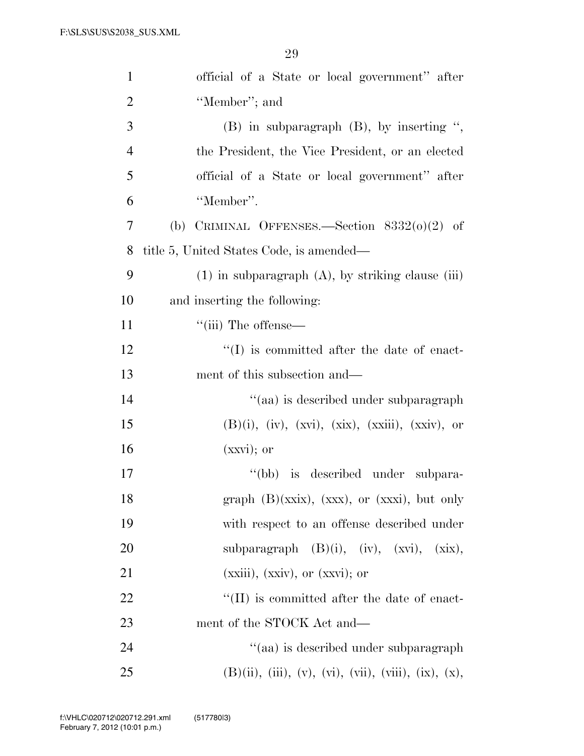| $\mathbf{1}$   | official of a State or local government" after                               |
|----------------|------------------------------------------------------------------------------|
| $\overline{2}$ | "Member"; and                                                                |
| 3              | $(B)$ in subparagraph $(B)$ , by inserting ",                                |
| $\overline{4}$ | the President, the Vice President, or an elected                             |
| 5              | official of a State or local government" after                               |
| 6              | "Member".                                                                    |
| 7              | (b) CRIMINAL OFFENSES.—Section $8332(0)(2)$ of                               |
| 8              | title 5, United States Code, is amended—                                     |
| 9              | $(1)$ in subparagraph $(A)$ , by striking clause (iii)                       |
| 10             | and inserting the following:                                                 |
| 11             | $\lq\lq$ (iii) The offense—                                                  |
| 12             | $\lq\lq$ is committed after the date of enact-                               |
| 13             | ment of this subsection and—                                                 |
| 14             | "(aa) is described under subparagraph                                        |
| 15             | $(B)(i)$ , $(iv)$ , $(xxi)$ , $(xxi)$ , $(xxiii)$ , $(xxiv)$ , or            |
| 16             | $(xxyi);$ or                                                                 |
| 17             | is described under subpara-<br>$\lq (bb)$                                    |
| 18             | graph $(B)(xxix)$ , $(xxx)$ , or $(xxxi)$ , but only                         |
| 19             | with respect to an offense described under                                   |
| 20             | subparagraph $(B)(i)$ , $(iv)$ , $(xvi)$ , $(xix)$ ,                         |
| 21             | $(xxiii)$ , $(xxiv)$ , or $(xxvi)$ ; or                                      |
| 22             | $\lq\lq$ (II) is committed after the date of enact-                          |
| 23             | ment of the STOCK Act and—                                                   |
| 24             | "(aa) is described under subparagraph                                        |
| 25             | $(B)(ii)$ , $(iii)$ , $(v)$ , $(vi)$ , $(vii)$ , $(viii)$ , $(ix)$ , $(x)$ , |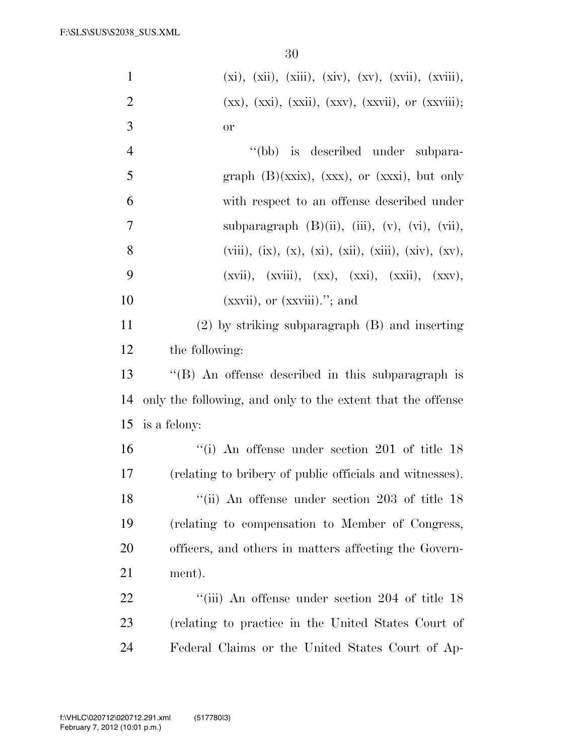| $\mathbf{1}$   | $(xi), (xii), (xiii), (xiv), (xv), (xvii), (xviii),$          |
|----------------|---------------------------------------------------------------|
| $\overline{2}$ | $(xx), (xxi), (xxii), (xxv), (xxvii), or (xxviii);$           |
| 3              | or                                                            |
| $\overline{4}$ | "(bb) is described under subpara-                             |
| 5              | graph $(B)(xxix)$ , $(xxx)$ , or $(xxxi)$ , but only          |
| 6              | with respect to an offense described under                    |
| $\tau$         | subparagraph $(B)(ii)$ , $(iii)$ , $(v)$ , $(vi)$ , $(vii)$ , |
| 8              | $(viii), (ix), (x), (xi), (xii), (xiii), (xiv), (xv),$        |
| 9              | $(xvii), (xviii), (xx), (xxi), (xxi), (xxii), (xxy),$         |
| 10             | $(xxyii)$ , or $(xxyiii)$ ."; and                             |
| 11             | $(2)$ by striking subparagraph $(B)$ and inserting            |
| 12             | the following:                                                |
| 13             | "(B) An offense described in this subparagraph is             |
| 14             | only the following, and only to the extent that the offense   |
| 15             | is a felony:                                                  |
| 16             | $``(i)$ An offense under section 201 of title 18              |
| 17             | (relating to bribery of public officials and witnesses).      |
| 18             | "(ii) An offense under section 203 of title 18                |
| 19             | (relating to compensation to Member of Congress,              |
| 20             | officers, and others in matters affecting the Govern-         |
| 21             | ment).                                                        |
| 22             | "(iii) An offense under section 204 of title 18               |
| 23             | (relating to practice in the United States Court of           |
| 24             | Federal Claims or the United States Court of Ap-              |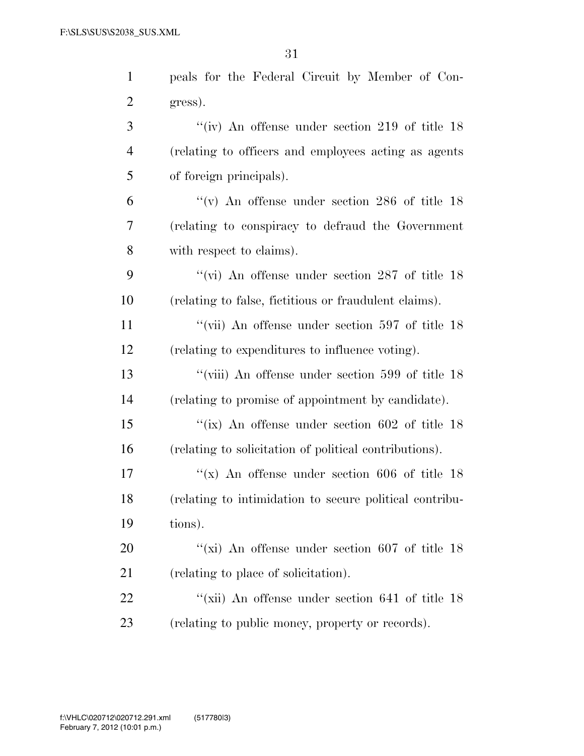| $\mathbf{1}$   | peals for the Federal Circuit by Member of Con-         |
|----------------|---------------------------------------------------------|
| $\overline{2}$ | gress).                                                 |
| 3              | "(iv) An offense under section 219 of title $18$        |
| $\overline{4}$ | (relating to officers and employees acting as agents    |
| 5              | of foreign principals).                                 |
| 6              | "(v) An offense under section 286 of title $18$         |
| $\overline{7}$ | (relating to conspiracy to defraud the Government       |
| 8              | with respect to claims).                                |
| 9              | "(vi) An offense under section 287 of title $18$        |
| 10             | (relating to false, fictitious or fraudulent claims).   |
| 11             | "(vii) An offense under section $597$ of title 18       |
| 12             | (relating to expenditures to influence voting).         |
| 13             | "(viii) An offense under section $599$ of title $18$    |
| 14             | (relating to promise of appointment by candidate).      |
| 15             | "(ix) An offense under section $602$ of title 18        |
| 16             | (relating to solicitation of political contributions).  |
| 17             | "(x) An offense under section 606 of title $18$         |
| 18             | (relating to intimidation to secure political contribu- |
| 19             | tions).                                                 |
| 20             | "(xi) An offense under section $607$ of title 18        |
| 21             | (relating to place of solicitation).                    |
| 22             | "(xii) An offense under section 641 of title 18         |
| 23             | (relating to public money, property or records).        |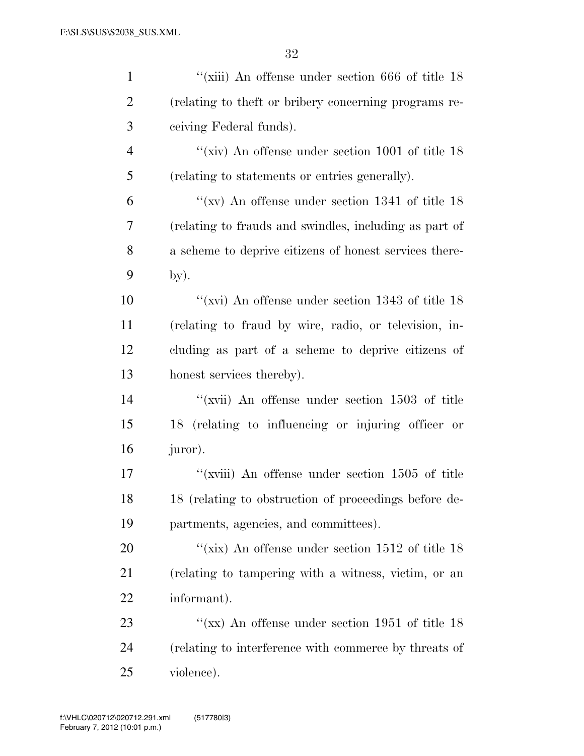| $\mathbf{1}$   | "(xiii) An offense under section $666$ of title $18$   |
|----------------|--------------------------------------------------------|
| $\overline{2}$ | (relating to the ft or bribery concerning programs re- |
| 3              | ceiving Federal funds).                                |
| $\overline{4}$ | "(xiv) An offense under section $1001$ of title 18     |
| 5              | (relating to statements or entries generally).         |
| 6              | "(xv) An offense under section 1341 of title $18$      |
| 7              | (relating to frauds and swindles, including as part of |
| 8              | a scheme to deprive citizens of honest services there- |
| 9              | by).                                                   |
| 10             | "(xvi) An offense under section $1343$ of title 18     |
| 11             | (relating to fraud by wire, radio, or television, in-  |
| 12             | cluding as part of a scheme to deprive citizens of     |
| 13             | honest services thereby).                              |
| 14             | "(xvii) An offense under section $1503$ of title       |
| 15             | 18 (relating to influencing or injuring officer or     |
| 16             | juror).                                                |
| $17\,$         | "( $xviii$ ) An offense under section 1505 of title    |
| 18             | 18 (relating to obstruction of proceedings before de-  |
| 19             | partments, agencies, and committees).                  |
| 20             | "(xix) An offense under section $1512$ of title 18     |
| 21             | (relating to tampering with a witness, victim, or an   |
| 22             | informant).                                            |
| 23             | "(xx) An offense under section 1951 of title $18$      |
| 24             | (relating to interference with commerce by threats of  |
| 25             | violence).                                             |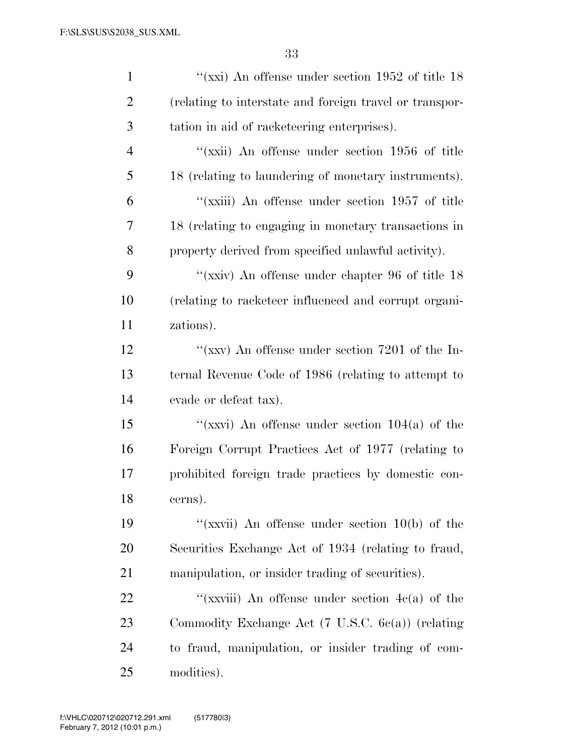| $\mathbf{1}$   | "( $\chi$ xi) An offense under section 1952 of title 18      |
|----------------|--------------------------------------------------------------|
| $\overline{2}$ | (relating to interstate and foreign travel or transpor-      |
| 3              | tation in aid of racketeering enterprises).                  |
| $\overline{4}$ | "(xxii) An offense under section 1956 of title               |
| 5              | 18 (relating to laundering of monetary instruments).         |
| 6              | "(xxiii) An offense under section 1957 of title              |
| 7              | 18 (relating to engaging in monetary transactions in         |
| 8              | property derived from specified unlawful activity).          |
| 9              | "( $\chi$ xiv) An offense under chapter 96 of title 18       |
| 10             | (relating to racketeer influenced and corrupt organi-        |
| 11             | zations).                                                    |
| 12             | "(xxv) An offense under section $7201$ of the In-            |
| 13             | ternal Revenue Code of 1986 (relating to attempt to          |
| 14             | evade or defeat tax).                                        |
| 15             | "(xxvi) An offense under section $104(a)$ of the             |
| 16             | Foreign Corrupt Practices Act of 1977 (relating to           |
| 17             | prohibited foreign trade practices by domestic con-          |
| 18             | cerns).                                                      |
| 19             | "(xxvii) An offense under section $10(b)$ of the             |
| <b>20</b>      | Securities Exchange Act of 1934 (relating to fraud,          |
| 21             | manipulation, or insider trading of securities).             |
| 22             | "(xxviii) An offense under section $4c(a)$ of the            |
| 23             | Commodity Exchange Act $(7 \text{ U.S.C. } 6c(a))$ (relating |
| 24             | to fraud, manipulation, or insider trading of com-           |
| 25             | modities).                                                   |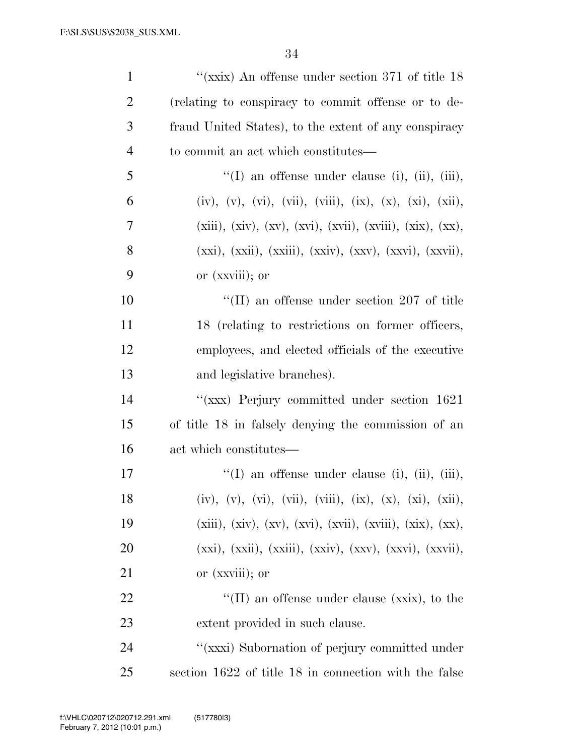| $\mathbf{1}$   | "(xxix) An offense under section 371 of title $18$                  |
|----------------|---------------------------------------------------------------------|
| $\overline{2}$ | (relating to conspiracy to commit offense or to de-                 |
| 3              | fraud United States), to the extent of any conspiracy               |
| $\overline{4}$ | to commit an act which constitutes—                                 |
| 5              | "(I) an offense under clause (i), (ii), (iii),                      |
| 6              | (iv), (v), (vi), (vii), (viii), (ix), (x), (xi), (xii),             |
| $\overline{7}$ | $(xiii), (xiv), (xv), (xvi), (xvii), (xviii), (xix), (xx),$         |
| 8              | $(xxi), (xxii), (xxiii), (xxiv), (xxv), (xxvi), (xxvii),$           |
| 9              | or (xxviii); or                                                     |
| 10             | $\rm ^{\prime\prime}(\rm II)$ an offense under section 207 of title |
| 11             | 18 (relating to restrictions on former officers,                    |
| 12             | employees, and elected officials of the executive                   |
| 13             | and legislative branches).                                          |
| 14             | "(xxx) Perjury committed under section 1621                         |
| 15             | of title 18 in falsely denying the commission of an                 |
| 16             | act which constitutes—                                              |
| 17             | "(I) an offense under clause (i), (ii), (iii),                      |
| 18             | (iv), (v), (vi), (vii), (viii), (ix), (x), (xi), (xii),             |
| 19             | $(xiii), (xiv), (xv), (xvi), (xvii), (xviii), (xix), (xx),$         |
| 20             | $(xxi), (xxii), (xxiii), (xxiv), (xxv), (xxvi), (xxvii),$           |
| 21             | or (xxviii); or                                                     |
| 22             | "(II) an offense under clause ( $\overline{\text{xx}}$ ), to the    |
| 23             | extent provided in such clause.                                     |
| 24             | "(xxxi) Subornation of perjury committed under                      |
| 25             | section 1622 of title 18 in connection with the false               |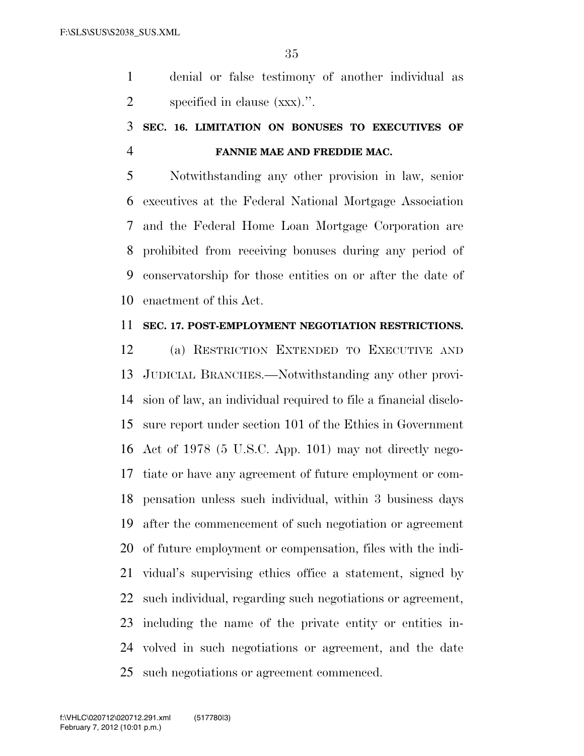denial or false testimony of another individual as specified in clause (xxx).''.

## **SEC. 16. LIMITATION ON BONUSES TO EXECUTIVES OF FANNIE MAE AND FREDDIE MAC.**

 Notwithstanding any other provision in law, senior executives at the Federal National Mortgage Association and the Federal Home Loan Mortgage Corporation are prohibited from receiving bonuses during any period of conservatorship for those entities on or after the date of enactment of this Act.

#### **SEC. 17. POST-EMPLOYMENT NEGOTIATION RESTRICTIONS.**

 (a) RESTRICTION EXTENDED TO EXECUTIVE AND JUDICIAL BRANCHES.—Notwithstanding any other provi- sion of law, an individual required to file a financial disclo- sure report under section 101 of the Ethics in Government Act of 1978 (5 U.S.C. App. 101) may not directly nego- tiate or have any agreement of future employment or com- pensation unless such individual, within 3 business days after the commencement of such negotiation or agreement of future employment or compensation, files with the indi- vidual's supervising ethics office a statement, signed by such individual, regarding such negotiations or agreement, including the name of the private entity or entities in- volved in such negotiations or agreement, and the date such negotiations or agreement commenced.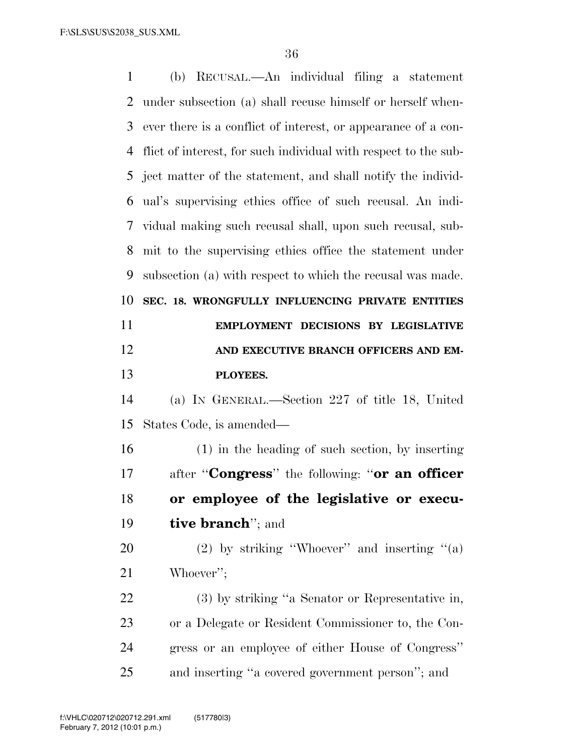| $\mathbf{1}$ | (b) RECUSAL.—An individual filing a statement                   |
|--------------|-----------------------------------------------------------------|
| 2            | under subsection (a) shall recuse himself or herself when-      |
| 3            | ever there is a conflict of interest, or appearance of a con-   |
| 4            | flict of interest, for such individual with respect to the sub- |
| 5            | ject matter of the statement, and shall notify the individ-     |
| 6            | ual's supervising ethics office of such recusal. An indi-       |
| 7            | vidual making such recusal shall, upon such recusal, sub-       |
| 8            | mit to the supervising ethics office the statement under        |
| 9            | subsection (a) with respect to which the recusal was made.      |
| 10           | SEC. 18. WRONGFULLY INFLUENCING PRIVATE ENTITIES                |
| 11           | EMPLOYMENT DECISIONS BY LEGISLATIVE                             |
| 12           | AND EXECUTIVE BRANCH OFFICERS AND EM-                           |
| 13           | PLOYEES.                                                        |
| 14           | (a) IN GENERAL.—Section 227 of title 18, United                 |
| 15           | States Code, is amended—                                        |
| 16           | $(1)$ in the heading of such section, by inserting              |
| 17           | after " <b>Congress</b> " the following: " <b>or an officer</b> |
| 18           | or employee of the legislative or execu-                        |
| 19           | <b>tive branch</b> "; and                                       |
| 20           | (2) by striking "Whoever" and inserting "(a)                    |
| 21           | Whoever";                                                       |
| 22           | (3) by striking "a Senator or Representative in,                |
| 23           | or a Delegate or Resident Commissioner to, the Con-             |
| 24           | gress or an employee of either House of Congress"               |
| 25           |                                                                 |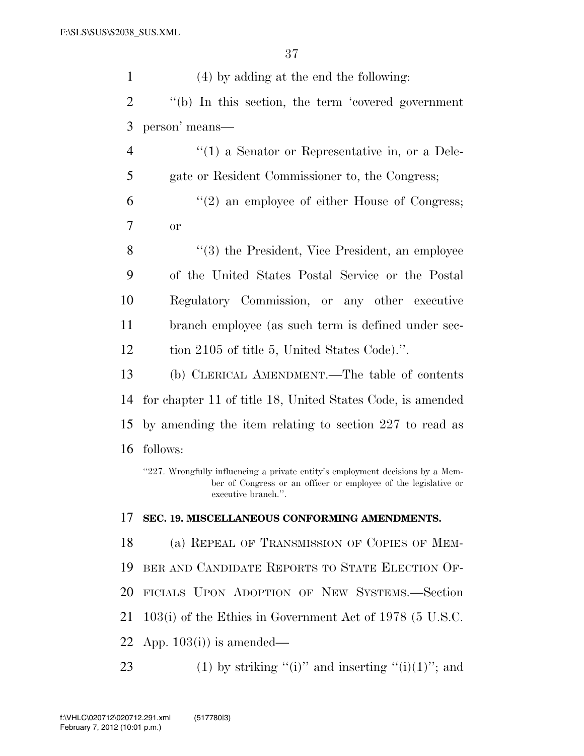| $\mathbf{1}$   | $(4)$ by adding at the end the following:                                                                                                                                |
|----------------|--------------------------------------------------------------------------------------------------------------------------------------------------------------------------|
| $\overline{2}$ | "(b) In this section, the term 'covered government                                                                                                                       |
| 3              | person' means—                                                                                                                                                           |
| $\overline{4}$ | $f'(1)$ a Senator or Representative in, or a Dele-                                                                                                                       |
| 5              | gate or Resident Commissioner to, the Congress;                                                                                                                          |
| 6              | $\lq(2)$ an employee of either House of Congress;                                                                                                                        |
| 7              | <b>or</b>                                                                                                                                                                |
| 8              | "(3) the President, Vice President, an employee                                                                                                                          |
| 9              | of the United States Postal Service or the Postal                                                                                                                        |
| 10             | Regulatory Commission, or any other executive                                                                                                                            |
| 11             | branch employee (as such term is defined under sec-                                                                                                                      |
| 12             | tion 2105 of title 5, United States Code).".                                                                                                                             |
| 13             | (b) CLERICAL AMENDMENT.—The table of contents                                                                                                                            |
| 14             | for chapter 11 of title 18, United States Code, is amended                                                                                                               |
| 15             | by amending the item relating to section 227 to read as                                                                                                                  |
| 16             | follows:                                                                                                                                                                 |
|                | "227. Wrongfully influencing a private entity's employment decisions by a Mem-<br>ber of Congress or an officer or employee of the legislative or<br>executive branch.". |
| 17             | SEC. 19. MISCELLANEOUS CONFORMING AMENDMENTS.                                                                                                                            |
| 18             | (a) REPEAL OF TRANSMISSION OF COPIES OF MEM-                                                                                                                             |
| 19             | BER AND CANDIDATE REPORTS TO STATE ELECTION OF-                                                                                                                          |
| 20             | FICIALS UPON ADOPTION OF NEW SYSTEMS.-Section                                                                                                                            |
| 21             | $103(i)$ of the Ethics in Government Act of 1978 (5 U.S.C.                                                                                                               |
| 22             | App. $103(i)$ is amended—                                                                                                                                                |
| 23             | (1) by striking "(i)" and inserting "(i)(1)"; and                                                                                                                        |